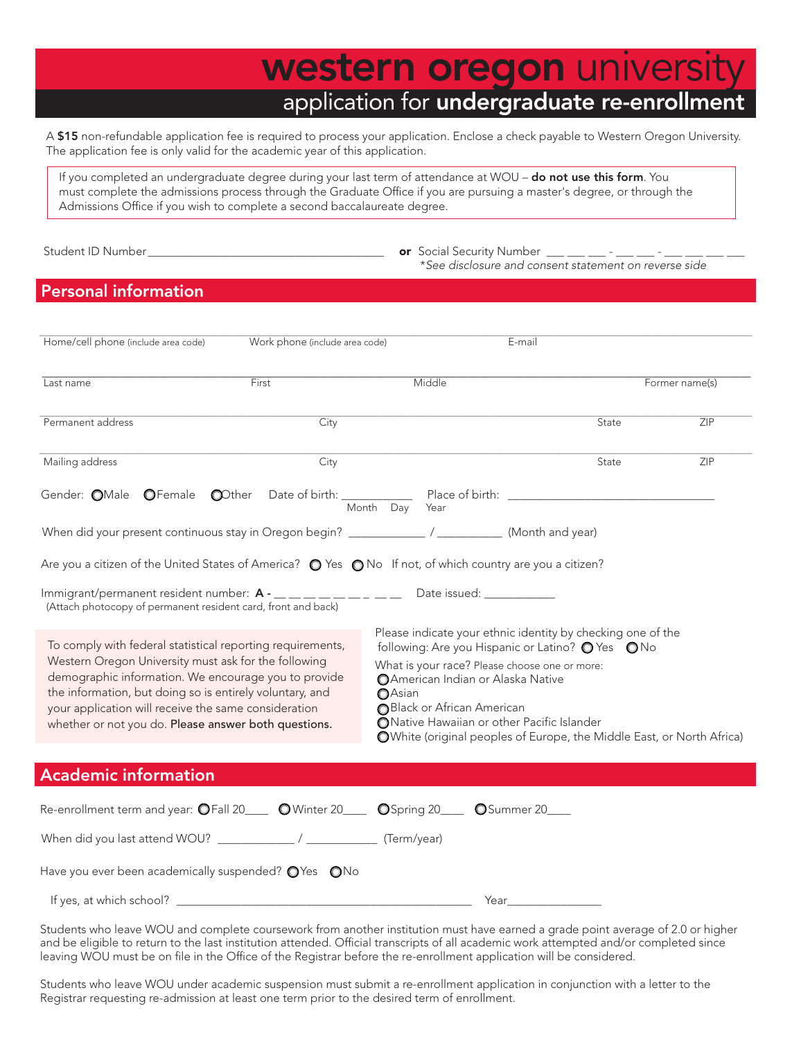## western oregon university application for undergraduate re-enrollment

A \$15 non-refundable application fee is required to process your application. Enclose a check payable to Western Oregon University. The application fee is only valid for the academic year of this application.

If you completed an undergraduate degree during your last term of attendance at WOU - do not use this form. You must complete the admissions process through the Graduate Office if you are pursuing a master's degree, or through the Admissions Office if you wish to complete a second baccalaureate degree.

Student ID Number\_\_\_\_\_\_\_\_\_\_\_\_\_\_\_\_\_\_\_\_\_\_\_\_\_\_\_\_\_\_\_\_\_\_\_\_\_\_\_\_ or Social Security Number \_\_\_ \_\_\_ \_\_\_ - \_\_\_ \_\_\_ - \_\_\_ \_\_\_ \_\_\_ \_\_\_

|  | *See disclosure and consent statement on reverse side |  |
|--|-------------------------------------------------------|--|
|--|-------------------------------------------------------|--|

## Personal information

| Home/cell phone (include area code)                                                                                                                                                                                                                                                                                                                                                                                                                                                                                                                                                                                                                                                                                                            | Work phone (include area code) |                | E-mail |                |
|------------------------------------------------------------------------------------------------------------------------------------------------------------------------------------------------------------------------------------------------------------------------------------------------------------------------------------------------------------------------------------------------------------------------------------------------------------------------------------------------------------------------------------------------------------------------------------------------------------------------------------------------------------------------------------------------------------------------------------------------|--------------------------------|----------------|--------|----------------|
| Last name                                                                                                                                                                                                                                                                                                                                                                                                                                                                                                                                                                                                                                                                                                                                      | First                          | Middle         |        | Former name(s) |
| Permanent address                                                                                                                                                                                                                                                                                                                                                                                                                                                                                                                                                                                                                                                                                                                              | City                           |                | State  | ZIP            |
| Mailing address                                                                                                                                                                                                                                                                                                                                                                                                                                                                                                                                                                                                                                                                                                                                | City                           |                | State  | ZIP            |
| Gender: OMale OFemale OOther Date of birth: ______________ Place of birth: ________________________<br>When did your present continuous stay in Oregon begin? ________________/ ____________ (Month and year)                                                                                                                                                                                                                                                                                                                                                                                                                                                                                                                                  |                                | Month Day Year |        |                |
| Are you a citizen of the United States of America? $\bigcirc$ Yes $\bigcirc$ No If not, of which country are you a citizen?<br>Immigrant/permanent resident number: A - _ _ _ _ _ _ _ _ _ _ Date issued: ________<br>(Attach photocopy of permanent resident card, front and back)                                                                                                                                                                                                                                                                                                                                                                                                                                                             |                                |                |        |                |
| Please indicate your ethnic identity by checking one of the<br>To comply with federal statistical reporting requirements,<br>following: Are you Hispanic or Latino? O Yes O No<br>Western Oregon University must ask for the following<br>What is your race? Please choose one or more:<br>demographic information. We encourage you to provide<br>OAmerican Indian or Alaska Native<br>the information, but doing so is entirely voluntary, and<br><b>O</b> Asian<br><b>OBlack or African American</b><br>your application will receive the same consideration<br>ONative Hawaiian or other Pacific Islander<br>whether or not you do. Please answer both questions.<br>OWhite (original peoples of Europe, the Middle East, or North Africa) |                                |                |        |                |
| <b>Academic information</b>                                                                                                                                                                                                                                                                                                                                                                                                                                                                                                                                                                                                                                                                                                                    |                                |                |        |                |

| Re-enrollment term and year: OFall 20_______ OWinter 20_______ OSpring 20______ OSummer 20_____ |             |  |
|-------------------------------------------------------------------------------------------------|-------------|--|
|                                                                                                 | (Term/year) |  |
| Have you ever been academically suspended? O Yes ONo                                            |             |  |
| If yes, at which school?                                                                        | Year        |  |

Students who leave WOU and complete coursework from another institution must have earned a grade point average of 2.0 or higher and be eligible to return to the last institution attended. Official transcripts of all academic work attempted and/or completed since leaving WOU must be on file in the Office of the Registrar before the re-enrollment application will be considered.

Students who leave WOU under academic suspension must submit a re-enrollment application in conjunction with a letter to the Registrar requesting re-admission at least one term prior to the desired term of enrollment.